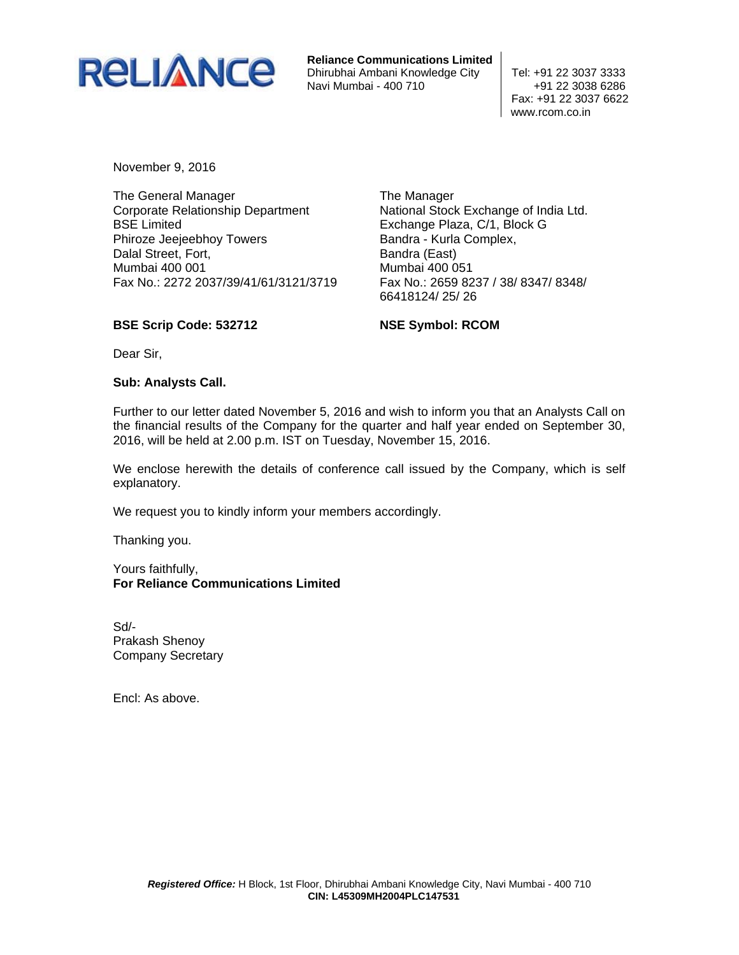

**Reliance Communications Limited** Dhirubhai Ambani Knowledge City | Tel: +91 22 3037 3333 Navi Mumbai - 400 710  $+91$  22 3038 6286

 Fax: +91 22 3037 6622 www.rcom.co.in

November 9, 2016

The General Manager Corporate Relationship Department BSE Limited Phiroze Jeejeebhoy Towers Dalal Street, Fort, Mumbai 400 001 Fax No.: 2272 2037/39/41/61/3121/3719 The Manager National Stock Exchange of India Ltd. Exchange Plaza, C/1, Block G Bandra - Kurla Complex, Bandra (East) Mumbai 400 051 Fax No.: 2659 8237 / 38/ 8347/ 8348/ 66418124/ 25/ 26

# **BSE Scrip Code: 532712**

**NSE Symbol: RCOM** 

Dear Sir,

### **Sub: Analysts Call.**

Further to our letter dated November 5, 2016 and wish to inform you that an Analysts Call on the financial results of the Company for the quarter and half year ended on September 30, 2016, will be held at 2.00 p.m. IST on Tuesday, November 15, 2016.

We enclose herewith the details of conference call issued by the Company, which is self explanatory.

We request you to kindly inform your members accordingly.

Thanking you.

Yours faithfully, **For Reliance Communications Limited** 

Sd/- Prakash Shenoy Company Secretary

Encl: As above.